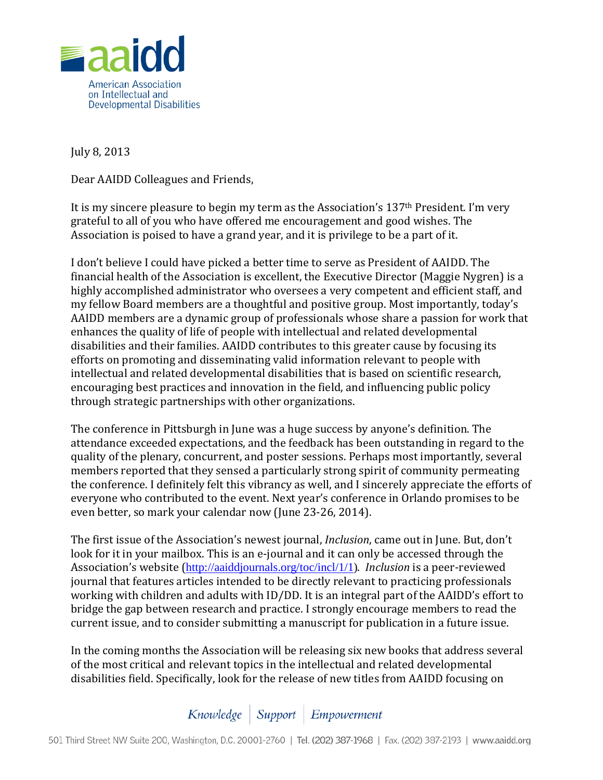

July 8, 2013

Dear AAIDD Colleagues and Friends,

It is my sincere pleasure to begin my term as the Association's 137th President. I'm very grateful to all of you who have offered me encouragement and good wishes. The Association is poised to have a grand year, and it is privilege to be a part of it.

I don't believe I could have picked a better time to serve as President of AAIDD. The financial health of the Association is excellent, the Executive Director (Maggie Nygren) is a highly accomplished administrator who oversees a very competent and efficient staff, and my fellow Board members are a thoughtful and positive group. Most importantly, today's AAIDD members are a dynamic group of professionals whose share a passion for work that enhances the quality of life of people with intellectual and related developmental disabilities and their families. AAIDD contributes to this greater cause by focusing its efforts on promoting and disseminating valid information relevant to people with intellectual and related developmental disabilities that is based on scientific research, encouraging best practices and innovation in the field, and influencing public policy through strategic partnerships with other organizations.

The conference in Pittsburgh in June was a huge success by anyone's definition. The attendance exceeded expectations, and the feedback has been outstanding in regard to the quality of the plenary, concurrent, and poster sessions. Perhaps most importantly, several members reported that they sensed a particularly strong spirit of community permeating the conference. I definitely felt this vibrancy as well, and I sincerely appreciate the efforts of everyone who contributed to the event. Next year's conference in Orlando promises to be even better, so mark your calendar now (June 23-26, 2014).

The first issue of the Association's newest journal, *Inclusion*, came out in June. But, don't look for it in your mailbox. This is an e-journal and it can only be accessed through the Association's website ([http://aaiddjournals.org/toc/incl/1/1\)](http://aaiddjournals.org/toc/incl/1/1). *Inclusion* is a peer-reviewed journal that features articles intended to be directly relevant to practicing professionals working with children and adults with ID/DD. It is an integral part of the AAIDD's effort to bridge the gap between research and practice. I strongly encourage members to read the current issue, and to consider submitting a manuscript for publication in a future issue.

In the coming months the Association will be releasing six new books that address several of the most critical and relevant topics in the intellectual and related developmental disabilities field. Specifically, look for the release of new titles from AAIDD focusing on

Knowledge | Support | Empowerment